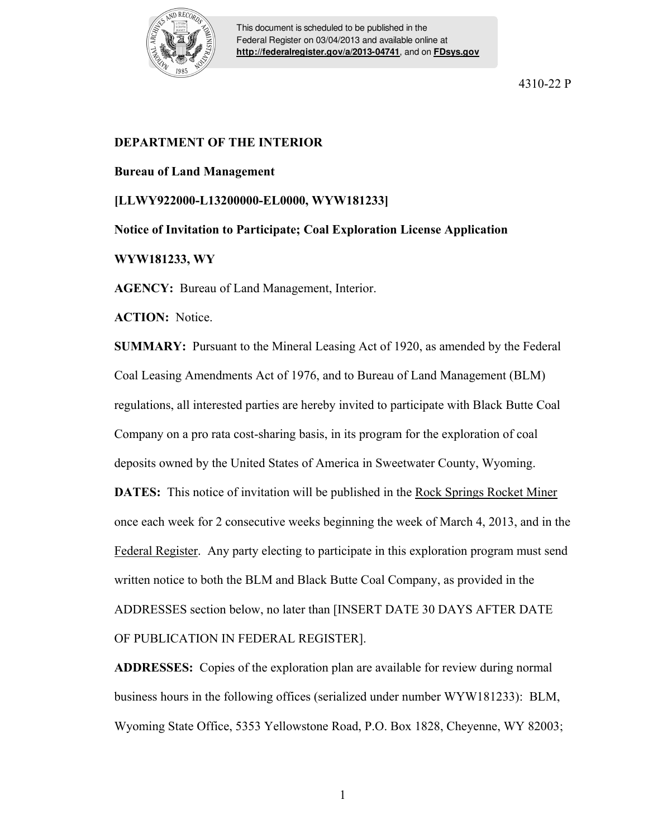

This document is scheduled to be published in the Federal Register on 03/04/2013 and available online at **<http://federalregister.gov/a/2013-04741>**, and on **[FDsys.gov](http://federalregister.gov/a/2013-04741.pdf)**

4310-22 P

## **DEPARTMENT OF THE INTERIOR**

## **Bureau of Land Management**

**[LLWY922000-L13200000-EL0000, WYW181233]** 

**Notice of Invitation to Participate; Coal Exploration License Application** 

## **WYW181233, WY**

**AGENCY:** Bureau of Land Management, Interior.

**ACTION:** Notice.

**SUMMARY:** Pursuant to the Mineral Leasing Act of 1920, as amended by the Federal Coal Leasing Amendments Act of 1976, and to Bureau of Land Management (BLM) regulations, all interested parties are hereby invited to participate with Black Butte Coal Company on a pro rata cost-sharing basis, in its program for the exploration of coal deposits owned by the United States of America in Sweetwater County, Wyoming. **DATES:** This notice of invitation will be published in the Rock Springs Rocket Miner once each week for 2 consecutive weeks beginning the week of March 4, 2013, and in the Federal Register. Any party electing to participate in this exploration program must send written notice to both the BLM and Black Butte Coal Company, as provided in the ADDRESSES section below, no later than [INSERT DATE 30 DAYS AFTER DATE

OF PUBLICATION IN FEDERAL REGISTER].

**ADDRESSES:** Copies of the exploration plan are available for review during normal business hours in the following offices (serialized under number WYW181233): BLM, Wyoming State Office, 5353 Yellowstone Road, P.O. Box 1828, Cheyenne, WY 82003;

1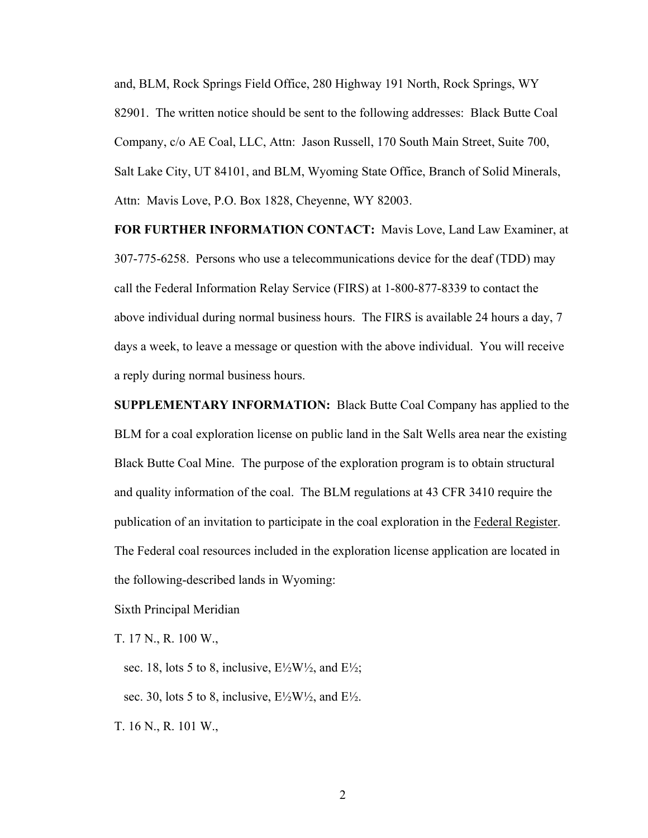and, BLM, Rock Springs Field Office, 280 Highway 191 North, Rock Springs, WY 82901. The written notice should be sent to the following addresses: Black Butte Coal Company, c/o AE Coal, LLC, Attn: Jason Russell, 170 South Main Street, Suite 700, Salt Lake City, UT 84101, and BLM, Wyoming State Office, Branch of Solid Minerals, Attn: Mavis Love, P.O. Box 1828, Cheyenne, WY 82003.

**FOR FURTHER INFORMATION CONTACT:** Mavis Love, Land Law Examiner, at 307-775-6258. Persons who use a telecommunications device for the deaf (TDD) may call the Federal Information Relay Service (FIRS) at 1-800-877-8339 to contact the above individual during normal business hours. The FIRS is available 24 hours a day, 7 days a week, to leave a message or question with the above individual. You will receive a reply during normal business hours.

**SUPPLEMENTARY INFORMATION:** Black Butte Coal Company has applied to the BLM for a coal exploration license on public land in the Salt Wells area near the existing Black Butte Coal Mine. The purpose of the exploration program is to obtain structural and quality information of the coal. The BLM regulations at 43 CFR 3410 require the publication of an invitation to participate in the coal exploration in the Federal Register. The Federal coal resources included in the exploration license application are located in the following-described lands in Wyoming:

Sixth Principal Meridian

T. 17 N., R. 100 W.,

sec. 18, lots 5 to 8, inclusive,  $E\frac{1}{2}W\frac{1}{2}$ , and  $E\frac{1}{2}$ ;

sec. 30, lots 5 to 8, inclusive,  $E\frac{\frac{1}{2}W}{2}$ , and  $E\frac{\frac{1}{2}W}{2}$ .

T. 16 N., R. 101 W.,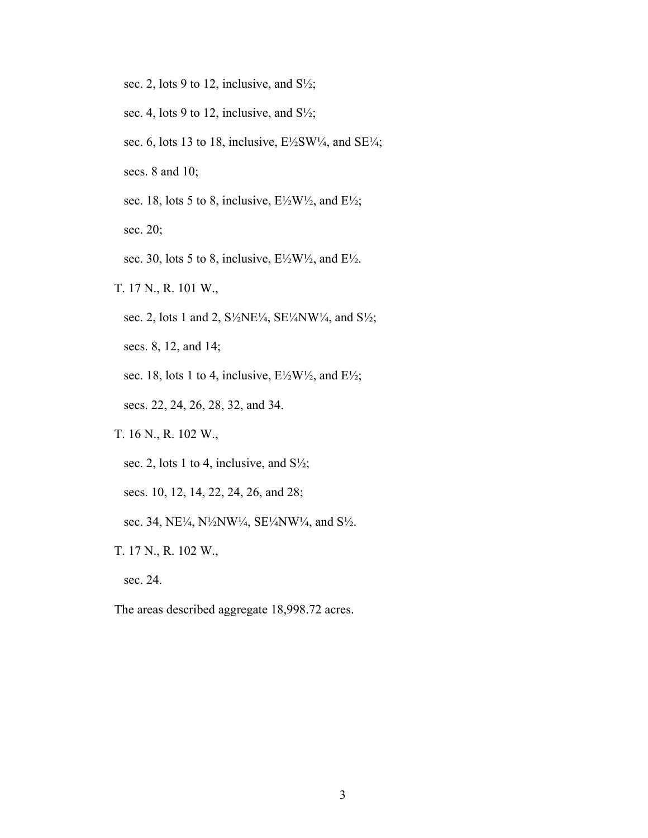- sec. 2, lots 9 to 12, inclusive, and  $S\frac{1}{2}$ ;
- sec. 4, lots 9 to 12, inclusive, and  $S\frac{1}{2}$ ;
- sec. 6, lots 13 to 18, inclusive,  $E\frac{\text{1}}{2}SW\frac{\text{1}}{4}$ , and  $SE\frac{\text{1}}{4}$ ;
- secs. 8 and 10;
- sec. 18, lots 5 to 8, inclusive,  $E\frac{1}{2}W\frac{1}{2}$ , and  $E\frac{1}{2}$ ;
- sec. 20;
- sec. 30, lots 5 to 8, inclusive,  $E\frac{1}{2}W\frac{1}{2}$ , and  $E\frac{1}{2}$ .
- T. 17 N., R. 101 W.,
	- sec. 2, lots 1 and 2, S<sup>1</sup>/<sub>2</sub>NE<sup>1</sup>/<sub>4</sub>, SE<sup>1</sup>/<sub>4</sub>NW<sup>1</sup>/<sub>4</sub>, and S<sup>1</sup>/<sub>2</sub>;
	- secs. 8, 12, and 14;
	- sec. 18, lots 1 to 4, inclusive,  $E\frac{\lambda}{2}W\frac{\lambda}{2}$ , and  $E\frac{\lambda}{2}$ ;
	- secs. 22, 24, 26, 28, 32, and 34.
- T. 16 N., R. 102 W.,
	- sec. 2, lots 1 to 4, inclusive, and  $S\frac{1}{2}$ ;
	- secs. 10, 12, 14, 22, 24, 26, and 28;
	- sec. 34, NE<sup> $1/4$ </sup>, N<sup>1</sup>/<sub>2</sub>NW<sup>1</sup>/<sub>4</sub>, SE<sup>1</sup>/<sub>4</sub>NW<sup>1</sup>/<sub>4</sub>, and S<sup>1</sup>/<sub>2</sub>.
- T. 17 N., R. 102 W.,
	- sec. 24.
- The areas described aggregate 18,998.72 acres.